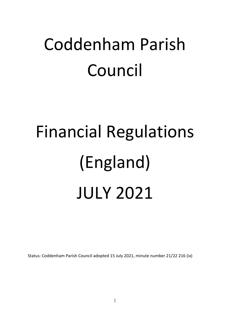# Coddenham Parish Council

# Financial Regulations (England) JULY 2021

Status: Coddenham Parish Council adopted 15 July 2021, minute number 21/22 216 (ix)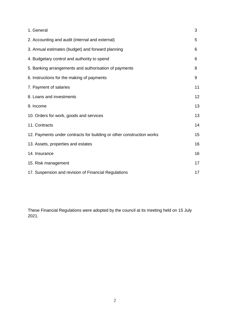| 1. General                                                            | 3  |
|-----------------------------------------------------------------------|----|
| 2. Accounting and audit (internal and external)                       | 5  |
| 3. Annual estimates (budget) and forward planning                     | 6  |
| 4. Budgetary control and authority to spend                           | 6  |
| 5. Banking arrangements and authorisation of payments                 | 8  |
| 6. Instructions for the making of payments                            | 9  |
| 7. Payment of salaries                                                | 11 |
| 8. Loans and investments                                              | 12 |
| 9. Income                                                             | 13 |
| 10. Orders for work, goods and services                               | 13 |
| 11. Contracts                                                         | 14 |
| 12. Payments under contracts for building or other construction works | 15 |
| 13. Assets, properties and estates                                    | 16 |
| 14. Insurance                                                         | 16 |
| 15. Risk management                                                   | 17 |
| 17. Suspension and revision of Financial Regulations                  | 17 |

These Financial Regulations were adopted by the council at its meeting held on 15 July 2021.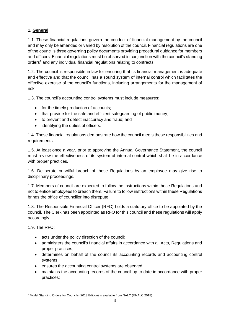# **1. General**

1.1. These financial regulations govern the conduct of financial management by the council and may only be amended or varied by resolution of the council. Financial regulations are one of the council's three governing policy documents providing procedural guidance for members and officers. Financial regulations must be observed in conjunction with the council's standing orders<sup>1</sup> and any individual financial regulations relating to contracts.

1.2. The council is responsible in law for ensuring that its financial management is adequate and effective and that the council has a sound system of internal control which facilitates the effective exercise of the council's functions, including arrangements for the management of risk.

1.3. The council's accounting control systems must include measures:

- for the timely production of accounts;
- that provide for the safe and efficient safeguarding of public money;
- to prevent and detect inaccuracy and fraud; and
- identifying the duties of officers.

1.4. These financial regulations demonstrate how the council meets these responsibilities and requirements.

1.5. At least once a year, prior to approving the Annual Governance Statement, the council must review the effectiveness of its system of internal control which shall be in accordance with proper practices.

1.6. Deliberate or wilful breach of these Regulations by an employee may give rise to disciplinary proceedings.

1.7. Members of council are expected to follow the instructions within these Regulations and not to entice employees to breach them. Failure to follow instructions within these Regulations brings the office of councillor into disrepute.

1.8. The Responsible Financial Officer (RFO) holds a statutory office to be appointed by the council. The Clerk has been appointed as RFO for this council and these regulations will apply accordingly.

1.9. The RFO;

- acts under the policy direction of the council;
- administers the council's financial affairs in accordance with all Acts, Regulations and proper practices;
- determines on behalf of the council its accounting records and accounting control systems;
- ensures the accounting control systems are observed;
- maintains the accounting records of the council up to date in accordance with proper practices;

<sup>1</sup> Model Standing Orders for Councils (2018 Edition) is available from NALC (©NALC 2018)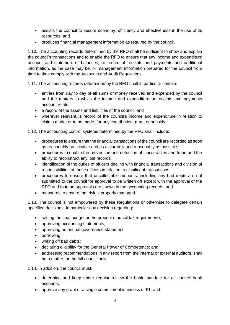- assists the council to secure economy, efficiency and effectiveness in the use of its resources; and
- produces financial management information as required by the council.

1.10. The accounting records determined by the RFO shall be sufficient to show and explain the council's transactions and to enable the RFO to ensure that any income and expenditure account and statement of balances, or record of receipts and payments and additional information, as the case may be, or management information prepared for the council from time to time comply with the Accounts and Audit Regulations.

1.11. The accounting records determined by the RFO shall in particular contain:

- entries from day to day of all sums of money received and expended by the council and the matters to which the income and expenditure or receipts and payments account relate;
- a record of the assets and liabilities of the council: and
- wherever relevant, a record of the council's income and expenditure in relation to claims made, or to be made, for any contribution, grant or subsidy.

1.12. The accounting control systems determined by the RFO shall include:

- procedures to ensure that the financial transactions of the council are recorded as soon as reasonably practicable and as accurately and reasonably as possible;
- procedures to enable the prevention and detection of inaccuracies and fraud and the ability to reconstruct any lost records;
- identification of the duties of officers dealing with financial transactions and division of responsibilities of those officers in relation to significant transactions;
- procedures to ensure that uncollectable amounts, including any bad debts are not submitted to the council for approval to be written off except with the approval of the RFO and that the approvals are shown in the accounting records; and
- measures to ensure that risk is properly managed.

1.13. The council is not empowered by these Regulations or otherwise to delegate certain specified decisions. In particular any decision regarding:

- setting the final budget or the precept (council tax requirement):
- approving accounting statements;
- approving an annual governance statement;
- borrowing;
- writing off bad debts;
- declaring eligibility for the General Power of Competence; and
- addressing recommendations in any report from the internal or external auditors, shall be a matter for the full council only.

1.14. In addition, the council must:

- determine and keep under regular review the bank mandate for all council bank accounts;
- approve any grant or a single commitment in excess of £1; and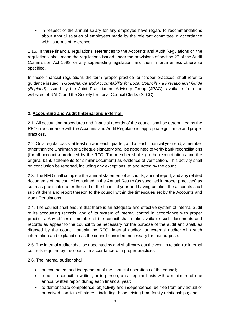• in respect of the annual salary for any employee have regard to recommendations about annual salaries of employees made by the relevant committee in accordance with its terms of reference.

1.15. In these financial regulations, references to the Accounts and Audit Regulations or 'the regulations' shall mean the regulations issued under the provisions of section 27 of the Audit Commission Act 1998, or any superseding legislation, and then in force unless otherwise specified.

In these financial regulations the term 'proper practice' or 'proper practices' shall refer to guidance issued in *Governance and Accountability for Local Councils - a Practitioners' Guide (England)* issued by the Joint Practitioners Advisory Group (JPAG), available from the websites of NALC and the Society for Local Council Clerks (SLCC).

# **2. Accounting and Audit (Internal and External)**

2.1. All accounting procedures and financial records of the council shall be determined by the RFO in accordance with the Accounts and Audit Regulations, appropriate guidance and proper practices.

2.2. On a regular basis, at least once in each quarter, and at each financial year end, a member other than the Chairman or a cheque signatory shall be appointed to verify bank reconciliations (for all accounts) produced by the RFO. The member shall sign the reconciliations and the original bank statements (or similar document) as evidence of verification. This activity shall on conclusion be reported, including any exceptions, to and noted by the council.

2.3. The RFO shall complete the annual statement of accounts, annual report, and any related documents of the council contained in the Annual Return (as specified in proper practices) as soon as practicable after the end of the financial year and having certified the accounts shall submit them and report thereon to the council within the timescales set by the Accounts and Audit Regulations.

2.4. The council shall ensure that there is an adequate and effective system of internal audit of its accounting records, and of its system of internal control in accordance with proper practices. Any officer or member of the council shall make available such documents and records as appear to the council to be necessary for the purpose of the audit and shall, as directed by the council, supply the RFO, internal auditor, or external auditor with such information and explanation as the council considers necessary for that purpose.

2.5. The internal auditor shall be appointed by and shall carry out the work in relation to internal controls required by the council in accordance with proper practices.

2.6. The internal auditor shall:

- be competent and independent of the financial operations of the council;
- report to council in writing, or in person, on a regular basis with a minimum of one annual written report during each financial year;
- to demonstrate competence, objectivity and independence, be free from any actual or perceived conflicts of interest, including those arising from family relationships; and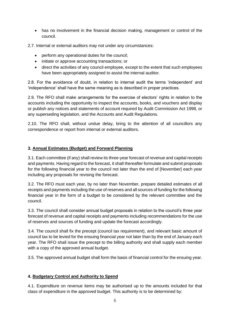- has no involvement in the financial decision making, management or control of the council.
- 2.7. Internal or external auditors may not under any circumstances:
	- perform any operational duties for the council;
	- initiate or approve accounting transactions; or
	- direct the activities of any council employee, except to the extent that such employees have been appropriately assigned to assist the internal auditor.

2.8. For the avoidance of doubt, in relation to internal audit the terms 'independent' and 'independence' shall have the same meaning as is described in proper practices.

2.9. The RFO shall make arrangements for the exercise of electors' rights in relation to the accounts including the opportunity to inspect the accounts, books, and vouchers and display or publish any notices and statements of account required by Audit Commission Act 1998, or any superseding legislation, and the Accounts and Audit Regulations.

2.10. The RFO shall, without undue delay, bring to the attention of all councillors any correspondence or report from internal or external auditors.

#### **3. Annual Estimates (Budget) and Forward Planning**

3.1. Each committee (if any) shall review its three-year forecast of revenue and capital receipts and payments. Having regard to the forecast, it shall thereafter formulate and submit proposals for the following financial year to the council not later than the end of [November] each year including any proposals for revising the forecast.

3.2. The RFO must each year, by no later than November, prepare detailed estimates of all receipts and payments including the use of reserves and all sources of funding for the following financial year in the form of a budget to be considered by the relevant committee and the council.

3.3. The council shall consider annual budget proposals in relation to the council's three year forecast of revenue and capital receipts and payments including recommendations for the use of reserves and sources of funding and update the forecast accordingly.

3.4. The council shall fix the precept (council tax requirement), and relevant basic amount of council tax to be levied for the ensuing financial year not later than by the end of January each year. The RFO shall issue the precept to the billing authority and shall supply each member with a copy of the approved annual budget.

3.5. The approved annual budget shall form the basis of financial control for the ensuing year.

# **4. Budgetary Control and Authority to Spend**

4.1. Expenditure on revenue items may be authorised up to the amounts included for that class of expenditure in the approved budget. This authority is to be determined by: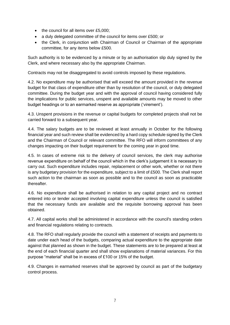- the council for all items over £5,000;
- a duly delegated committee of the council for items over £500; or
- the Clerk, in conjunction with Chairman of Council or Chairman of the appropriate committee, for any items below £500.

Such authority is to be evidenced by a minute or by an authorisation slip duly signed by the Clerk, and where necessary also by the appropriate Chairman.

Contracts may not be disaggregated to avoid controls imposed by these regulations.

4.2. No expenditure may be authorised that will exceed the amount provided in the revenue budget for that class of expenditure other than by resolution of the council, or duly delegated committee. During the budget year and with the approval of council having considered fully the implications for public services, unspent and available amounts may be moved to other budget headings or to an earmarked reserve as appropriate ('virement').

4.3. Unspent provisions in the revenue or capital budgets for completed projects shall not be carried forward to a subsequent year.

4.4. The salary budgets are to be reviewed at least annually in October for the following financial year and such review shall be evidenced by a hard copy schedule signed by the Clerk and the Chairman of Council or relevant committee. The RFO will inform committees of any changes impacting on their budget requirement for the coming year in good time.

4.5. In cases of extreme risk to the delivery of council services, the clerk may authorise revenue expenditure on behalf of the council which in the clerk's judgement it is necessary to carry out. Such expenditure includes repair, replacement or other work, whether or not there is any budgetary provision for the expenditure, subject to a limit of £500. The Clerk shall report such action to the chairman as soon as possible and to the council as soon as practicable thereafter.

4.6. No expenditure shall be authorised in relation to any capital project and no contract entered into or tender accepted involving capital expenditure unless the council is satisfied that the necessary funds are available and the requisite borrowing approval has been obtained.

4.7. All capital works shall be administered in accordance with the council's standing orders and financial regulations relating to contracts.

4.8. The RFO shall regularly provide the council with a statement of receipts and payments to date under each head of the budgets, comparing actual expenditure to the appropriate date against that planned as shown in the budget. These statements are to be prepared at least at the end of each financial quarter and shall show explanations of material variances. For this purpose "material" shall be in excess of £100 or 15% of the budget.

4.9. Changes in earmarked reserves shall be approved by council as part of the budgetary control process.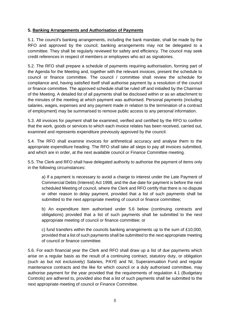#### **5. Banking Arrangements and Authorisation of Payments**

5.1. The council's banking arrangements, including the bank mandate, shall be made by the RFO and approved by the council; banking arrangements may not be delegated to a committee. They shall be regularly reviewed for safety and efficiency. The council may seek credit references in respect of members or employees who act as signatories.

5.2. The RFO shall prepare a schedule of payments requiring authorisation, forming part of the Agenda for the Meeting and, together with the relevant invoices, present the schedule to council or finance committee. The council / committee shall review the schedule for compliance and, having satisfied itself shall authorise payment by a resolution of the council or finance committee. The approved schedule shall be ruled off and initialled by the Chairman of the Meeting. A detailed list of all payments shall be disclosed within or as an attachment to the minutes of the meeting at which payment was authorised. Personal payments (including salaries, wages, expenses and any payment made in relation to the termination of a contract of employment) may be summarised to remove public access to any personal information.

5.3. All invoices for payment shall be examined, verified and certified by the RFO to confirm that the work, goods or services to which each invoice relates has been received, carried out, examined and represents expenditure previously approved by the council.

5.4. The RFO shall examine invoices for arithmetical accuracy and analyse them to the appropriate expenditure heading. The RFO shall take all steps to pay all invoices submitted, and which are in order, at the next available council or Finance Committee meeting.

5.5. The Clerk and RFO shall have delegated authority to authorise the payment of items only in the following circumstances:

a) If a payment is necessary to avoid a charge to interest under the Late Payment of Commercial Debts (Interest) Act 1998, and the due date for payment is before the next scheduled Meeting of council, where the Clerk and RFO certify that there is no dispute or other reason to delay payment, provided that a list of such payments shall be submitted to the next appropriate meeting of council or finance committee;

b) An expenditure item authorised under 5.6 below (continuing contracts and obligations) provided that a list of such payments shall be submitted to the next appropriate meeting of council or finance committee; or

c) fund transfers within the councils banking arrangements up to the sum of £10,000, provided that a list of such payments shall be submitted to the next appropriate meeting of council or finance committee.

5.6. For each financial year the Clerk and RFO shall draw up a list of due payments which arise on a regular basis as the result of a continuing contract, statutory duty, or obligation (such as but not exclusively) Salaries, PAYE and NI, Superannuation Fund and regular maintenance contracts and the like for which council or a duly authorised committee, may authorise payment for the year provided that the requirements of regulation 4.1 (Budgetary Controls) are adhered to, provided also that a list of such payments shall be submitted to the next appropriate meeting of council or Finance Committee.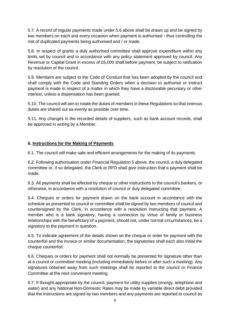5.7. A record of regular payments made under 5.6 above shall be drawn up and be signed by two members on each and every occasion when payment is authorised - thus controlling the risk of duplicated payments being authorised and / or made.

5.8. In respect of grants a duly authorised committee shall approve expenditure within any limits set by council and in accordance with any policy statement approved by council. Any Revenue or Capital Grant in excess of £5,000 shall before payment, be subject to ratification by resolution of the council.

5.9. Members are subject to the Code of Conduct that has been adopted by the council and shall comply with the Code and Standing Orders when a decision to authorise or instruct payment is made in respect of a matter in which they have a disclosable pecuniary or other interest, unless a dispensation has been granted.

5.10. The council will aim to rotate the duties of members in these Regulations so that onerous duties are shared out as evenly as possible over time.

5.11. Any changes in the recorded details of suppliers, such as bank account records, shall be approved in writing by a Member.

# **6. Instructions for the Making of Payments**

6.1. The council will make safe and efficient arrangements for the making of its payments.

6.2. Following authorisation under Financial Regulation 5 above, the council, a duly delegated committee or, if so delegated, the Clerk or RFO shall give instruction that a payment shall be made.

6.3. All payments shall be affected by cheque or other instructions to the council's bankers, or otherwise, in accordance with a resolution of council or duly delegated committee.

6.4. Cheques or orders for payment drawn on the bank account in accordance with the schedule as presented to council or committee shall be signed by two members of council and countersigned by the Clerk, in accordance with a resolution instructing that payment. A member who is a bank signatory, having a connection by virtue of family or business relationships with the beneficiary of a payment, should not, under normal circumstances, be a signatory to the payment in question.

6.5. To indicate agreement of the details shown on the cheque or order for payment with the counterfoil and the invoice or similar documentation, the signatories shall each also initial the cheque counterfoil.

6.6. Cheques or orders for payment shall not normally be presented for signature other than at a council or committee meeting (including immediately before or after such a meeting). Any signatures obtained away from such meetings shall be reported to the council or Finance Committee at the next convenient meeting.

6.7. If thought appropriate by the council, payment for utility supplies (energy, telephone and water) and any National Non-Domestic Rates may be made by variable direct debit provided that the instructions are signed by two members and any payments are reported to council as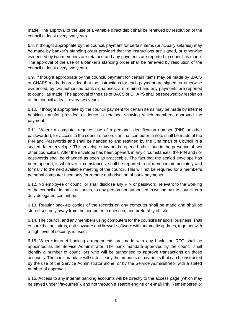made. The approval of the use of a variable direct debit shall be renewed by resolution of the council at least every two years.

6.8. If thought appropriate by the council, payment for certain items (principally salaries) may be made by banker's standing order provided that the instructions are signed, or otherwise evidenced by two members are retained and any payments are reported to council as made. The approval of the use of a banker's standing order shall be renewed by resolution of the council at least every two years.

6.9. If thought appropriate by the council, payment for certain items may be made by BACS or CHAPS methods provided that the instructions for each payment are signed, or otherwise evidenced, by two authorised bank signatories, are retained and any payments are reported to council as made. The approval of the use of BACS or CHAPS shall be renewed by resolution of the council at least every two years.

6.10. If thought appropriate by the council payment for certain items may be made by internet banking transfer provided evidence is retained showing which members approved the payment.

6.11. Where a computer requires use of a personal identification number (PIN) or other password(s), for access to the council's records on that computer, a note shall be made of the PIN and Passwords and shall be handed to and retained by the Chairman of Council in a sealed dated envelope. This envelope may not be opened other than in the presence of two other councillors. After the envelope has been opened, in any circumstances, the PIN and / or passwords shall be changed as soon as practicable. The fact that the sealed envelope has been opened, in whatever circumstances, shall be reported to all members immediately and formally to the next available meeting of the council. This will not be required for a member's personal computer used only for remote authorisation of bank payments.

6.12. No employee or councillor shall disclose any PIN or password, relevant to the working of the council or its bank accounts, to any person not authorised in writing by the council or a duly delegated committee.

6.13. Regular back-up copies of the records on any computer shall be made and shall be stored securely away from the computer in question, and preferably off site.

6.14. The council, and any members using computers for the council's financial business, shall ensure that anti-virus, anti-spyware and firewall software with automatic updates, together with a high level of security, is used.

6.15. Where internet banking arrangements are made with any bank, the RFO shall be appointed as the Service Administrator. The bank mandate approved by the council shall identify a number of councillors who will be authorised to approve transactions on those accounts. The bank mandate will state clearly the amounts of payments that can be instructed by the use of the Service Administrator alone, or by the Service Administrator with a stated number of approvals.

6.16. Access to any internet banking accounts will be directly to the access page (which may be saved under "favourites"), and not through a search engine or e-mail link. Remembered or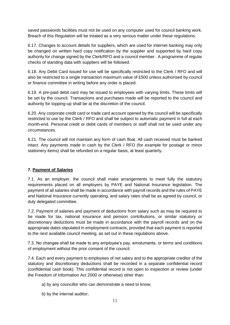saved passwords facilities must not be used on any computer used for council banking work. Breach of this Regulation will be treated as a very serious matter under these regulations.

6.17. Changes to account details for suppliers, which are used for internet banking may only be changed on written hard copy notification by the supplier and supported by hard copy authority for change signed by the Clerk/RFO and a council member . A programme of regular checks of standing data with suppliers will be followed.

6.18. Any Debit Card issued for use will be specifically restricted to the Clerk / RFO and will also be restricted to a single transaction maximum value of £500 unless authorised by council or finance committee in writing before any order is placed.

6.19. A pre-paid debit card may be issued to employees with varying limits. These limits will be set by the council. Transactions and purchases made will be reported to the council and authority for topping-up shall be at the discretion of the council.

6.20. Any corporate credit card or trade card account opened by the council will be specifically restricted to use by the Clerk / RFO and shall be subject to automatic payment in full at each month-end. Personal credit or debit cards of members or staff shall not be used under any circumstances.

6.21. The council will not maintain any form of cash float. All cash received must be banked intact. Any payments made in cash by the Clerk / RFO (for example for postage or minor stationery items) shall be refunded on a regular basis, at least quarterly.

# **7. Payment of Salaries**

7.1. As an employer, the council shall make arrangements to meet fully the statutory requirements placed on all employers by PAYE and National Insurance legislation. The payment of all salaries shall be made in accordance with payroll records and the rules of PAYE and National Insurance currently operating, and salary rates shall be as agreed by council, or duly delegated committee.

7.2. Payment of salaries and payment of deductions from salary such as may be required to be made for tax, national insurance and pension contributions, or similar statutory or discretionary deductions must be made in accordance with the payroll records and on the appropriate dates stipulated in employment contracts, provided that each payment is reported to the next available council meeting, as set out in these regulations above.

7.3. No changes shall be made to any employee's pay, emoluments, or terms and conditions of employment without the prior consent of the council.

7.4. Each and every payment to employees of net salary and to the appropriate creditor of the statutory and discretionary deductions shall be recorded in a separate confidential record (confidential cash book). This confidential record is not open to inspection or review (under the Freedom of Information Act 2000 or otherwise) other than:

- a) by any councillor who can demonstrate a need to know;
- b) by the internal auditor;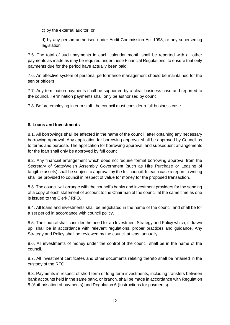c) by the external auditor; or

d) by any person authorised under Audit Commission Act 1998, or any superseding legislation.

7.5. The total of such payments in each calendar month shall be reported with all other payments as made as may be required under these Financial Regulations, to ensure that only payments due for the period have actually been paid.

7.6. An effective system of personal performance management should be maintained for the senior officers.

7.7. Any termination payments shall be supported by a clear business case and reported to the council. Termination payments shall only be authorised by council.

7.8. Before employing interim staff, the council must consider a full business case.

# **8. Loans and Investments**

8.1. All borrowings shall be affected in the name of the council, after obtaining any necessary borrowing approval. Any application for borrowing approval shall be approved by Council as to terms and purpose. The application for borrowing approval, and subsequent arrangements for the loan shall only be approved by full council.

8.2. Any financial arrangement which does not require formal borrowing approval from the Secretary of State/Welsh Assembly Government (such as Hire Purchase or Leasing of tangible assets) shall be subject to approval by the full council. In each case a report in writing shall be provided to council in respect of value for money for the proposed transaction.

8.3. The council will arrange with the council's banks and investment providers for the sending of a copy of each statement of account to the Chairman of the council at the same time as one is issued to the Clerk / RFO.

8.4. All loans and investments shall be negotiated in the name of the council and shall be for a set period in accordance with council policy.

8.5. The council shall consider the need for an Investment Strategy and Policy which, if drawn up, shall be in accordance with relevant regulations, proper practices and guidance. Any Strategy and Policy shall be reviewed by the council at least annually.

8.6. All investments of money under the control of the council shall be in the name of the council.

8.7. All investment certificates and other documents relating thereto shall be retained in the custody of the RFO.

8.8. Payments in respect of short term or long-term investments, including transfers between bank accounts held in the same bank, or branch, shall be made in accordance with Regulation 5 (Authorisation of payments) and Regulation 6 (Instructions for payments).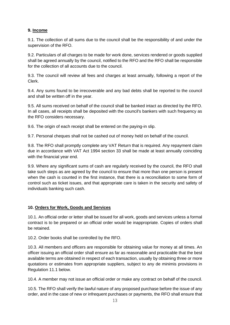# **9. Income**

9.1. The collection of all sums due to the council shall be the responsibility of and under the supervision of the RFO.

9.2. Particulars of all charges to be made for work done, services rendered or goods supplied shall be agreed annually by the council, notified to the RFO and the RFO shall be responsible for the collection of all accounts due to the council.

9.3. The council will review all fees and charges at least annually, following a report of the Clerk.

9.4. Any sums found to be irrecoverable and any bad debts shall be reported to the council and shall be written off in the year.

9.5. All sums received on behalf of the council shall be banked intact as directed by the RFO. In all cases, all receipts shall be deposited with the council's bankers with such frequency as the RFO considers necessary.

9.6. The origin of each receipt shall be entered on the paying-in slip.

9.7. Personal cheques shall not be cashed out of money held on behalf of the council.

9.8. The RFO shall promptly complete any VAT Return that is required. Any repayment claim due in accordance with VAT Act 1994 section 33 shall be made at least annually coinciding with the financial year end.

9.9. Where any significant sums of cash are regularly received by the council, the RFO shall take such steps as are agreed by the council to ensure that more than one person is present when the cash is counted in the first instance, that there is a reconciliation to some form of control such as ticket issues, and that appropriate care is taken in the security and safety of individuals banking such cash.

# **10. Orders for Work, Goods and Services**

10.1. An official order or letter shall be issued for all work, goods and services unless a formal contract is to be prepared or an official order would be inappropriate. Copies of orders shall be retained.

10.2. Order books shall be controlled by the RFO.

10.3. All members and officers are responsible for obtaining value for money at all times. An officer issuing an official order shall ensure as far as reasonable and practicable that the best available terms are obtained in respect of each transaction, usually by obtaining three or more quotations or estimates from appropriate suppliers, subject to any de minimis provisions in Regulation 11.1 below.

10.4. A member may not issue an official order or make any contract on behalf of the council.

10.5. The RFO shall verify the lawful nature of any proposed purchase before the issue of any order, and in the case of new or infrequent purchases or payments, the RFO shall ensure that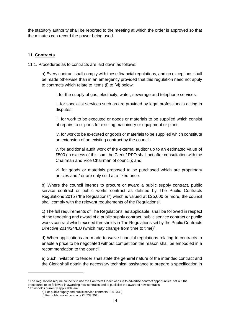the statutory authority shall be reported to the meeting at which the order is approved so that the minutes can record the power being used.

#### **11. Contracts**

11.1. Procedures as to contracts are laid down as follows:

a) Every contract shall comply with these financial regulations, and no exceptions shall be made otherwise than in an emergency provided that this regulation need not apply to contracts which relate to items (i) to (vi) below:

i. for the supply of gas, electricity, water, sewerage and telephone services;

ii. for specialist services such as are provided by legal professionals acting in disputes;

iii. for work to be executed or goods or materials to be supplied which consist of repairs to or parts for existing machinery or equipment or plant;

iv. for work to be executed or goods or materials to be supplied which constitute an extension of an existing contract by the council;

v. for additional audit work of the external auditor up to an estimated value of £500 (in excess of this sum the Clerk / RFO shall act after consultation with the Chairman and Vice Chairman of council); and

vi. for goods or materials proposed to be purchased which are proprietary articles and / or are only sold at a fixed price.

b) Where the council intends to procure or award a public supply contract, public service contract or public works contract as defined by The Public Contracts Regulations 2015 ("the Regulations") which is valued at £25,000 or more, the council shall comply with the relevant requirements of the Regulations<sup>2</sup>.

c) The full requirements of The Regulations, as applicable, shall be followed in respect of the tendering and award of a public supply contract, public service contract or public works contract which exceed thresholds in The Regulations set by the Public Contracts Directive 2014/24/EU (which may change from time to time)<sup>3</sup>.

d) When applications are made to waive financial regulations relating to contracts to enable a price to be negotiated without competition the reason shall be embodied in a recommendation to the council.

e) Such invitation to tender shall state the general nature of the intended contract and the Clerk shall obtain the necessary technical assistance to prepare a specification in

<sup>&</sup>lt;sup>2</sup> The Regulations require councils to use the Contracts Finder website to advertise contract opportunities, set out the procedures to be followed in awarding new contracts and to publicise the award of new contracts 3.<br>Thresholds ourrently applicable are: <sup>3</sup> Thresholds currently applicable are:

a) For public supply and public service contracts £189,330)

b) For public works contracts £4,733,252)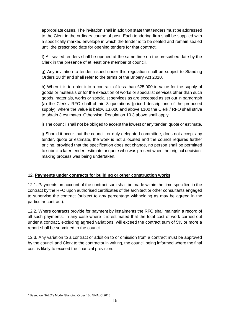appropriate cases. The invitation shall in addition state that tenders must be addressed to the Clerk in the ordinary course of post. Each tendering firm shall be supplied with a specifically marked envelope in which the tender is to be sealed and remain sealed until the prescribed date for opening tenders for that contract.

f) All sealed tenders shall be opened at the same time on the prescribed date by the Clerk in the presence of at least one member of council.

g) Any invitation to tender issued under this regulation shall be subject to Standing Orders 18 d<sup>4</sup> and shall refer to the terms of the Bribery Act 2010.

h) When it is to enter into a contract of less than £25,000 in value for the supply of goods or materials or for the execution of works or specialist services other than such goods, materials, works or specialist services as are excepted as set out in paragraph (a) the Clerk / RFO shall obtain 3 quotations (priced descriptions of the proposed supply); where the value is below £3,000 and above £100 the Clerk / RFO shall strive to obtain 3 estimates. Otherwise, Regulation 10.3 above shall apply.

i) The council shall not be obliged to accept the lowest or any tender, quote or estimate.

j) Should it occur that the council, or duly delegated committee, does not accept any tender, quote or estimate, the work is not allocated and the council requires further pricing, provided that the specification does not change, no person shall be permitted to submit a later tender, estimate or quote who was present when the original decisionmaking process was being undertaken.

# **12. Payments under contracts for building or other construction works**

12.1. Payments on account of the contract sum shall be made within the time specified in the contract by the RFO upon authorised certificates of the architect or other consultants engaged to supervise the contract (subject to any percentage withholding as may be agreed in the particular contract).

12.2. Where contracts provide for payment by instalments the RFO shall maintain a record of all such payments. In any case where it is estimated that the total cost of work carried out under a contract, excluding agreed variations, will exceed the contract sum of 5% or more a report shall be submitted to the council.

12.3. Any variation to a contract or addition to or omission from a contract must be approved by the council and Clerk to the contractor in writing, the council being informed where the final cost is likely to exceed the financial provision.

<sup>4</sup> Based on NALC's Model Standing Order 18d ©NALC 2018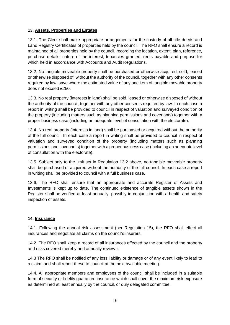#### **13. Assets, Properties and Estates**

13.1. The Clerk shall make appropriate arrangements for the custody of all title deeds and Land Registry Certificates of properties held by the council. The RFO shall ensure a record is maintained of all properties held by the council, recording the location, extent, plan, reference, purchase details, nature of the interest, tenancies granted, rents payable and purpose for which held in accordance with Accounts and Audit Regulations.

13.2. No tangible moveable property shall be purchased or otherwise acquired, sold, leased or otherwise disposed of, without the authority of the council, together with any other consents required by law, save where the estimated value of any one item of tangible movable property does not exceed £250.

13.3. No real property (interests in land) shall be sold, leased or otherwise disposed of without the authority of the council, together with any other consents required by law. In each case a report in writing shall be provided to council in respect of valuation and surveyed condition of the property (including matters such as planning permissions and covenants) together with a proper business case (including an adequate level of consultation with the electorate).

13.4. No real property (interests in land) shall be purchased or acquired without the authority of the full council. In each case a report in writing shall be provided to council in respect of valuation and surveyed condition of the property (including matters such as planning permissions and covenants) together with a proper business case (including an adequate level of consultation with the electorate).

13.5. Subject only to the limit set in Regulation 13.2 above, no tangible moveable property shall be purchased or acquired without the authority of the full council. In each case a report in writing shall be provided to council with a full business case.

13.6. The RFO shall ensure that an appropriate and accurate Register of Assets and Investments is kept up to date. The continued existence of tangible assets shown in the Register shall be verified at least annually, possibly in conjunction with a health and safety inspection of assets.

# **14. Insurance**

14.1. Following the annual risk assessment (per Regulation 15), the RFO shall effect all insurances and negotiate all claims on the council's insurers.

14.2. The RFO shall keep a record of all insurances effected by the council and the property and risks covered thereby and annually review it.

14.3 The RFO shall be notified of any loss liability or damage or of any event likely to lead to a claim, and shall report these to council at the next available meeting.

14.4. All appropriate members and employees of the council shall be included in a suitable form of security or fidelity guarantee insurance which shall cover the maximum risk exposure as determined at least annually by the council, or duly delegated committee.